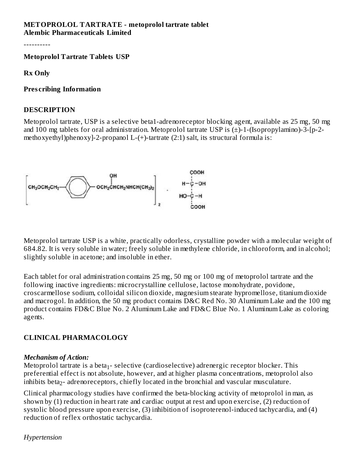#### **METOPROLOL TARTRATE - metoprolol tartrate tablet Alembic Pharmaceuticals Limited**

----------

**Metoprolol Tartrate Tablets USP**

**Rx Only**

**Pres cribing Information**

#### **DESCRIPTION**

Metoprolol tartrate, USP is a selective beta1-adrenoreceptor blocking agent, available as 25 mg, 50 mg and 100 mg tablets for oral administration. Metoprolol tartrate USP is (±)-1-(Isopropylamino)-3-[p-2 methoxyethyl)phenoxy]-2-propanol L-(+)-tartrate (2:1) salt, its structural formula is:



Metoprolol tartrate USP is a white, practically odorless, crystalline powder with a molecular weight of 684.82. It is very soluble in water; freely soluble in methylene chloride, in chloroform, and in alcohol; slightly soluble in acetone; and insoluble in ether.

Each tablet for oral administration contains 25 mg, 50 mg or 100 mg of metoprolol tartrate and the following inactive ingredients: microcrystalline cellulose, lactose monohydrate, povidone, croscarmellose sodium, colloidal silicon dioxide, magnesium stearate hypromellose, titanium dioxide and macrogol. In addition, the 50 mg product contains D&C Red No. 30 Aluminum Lake and the 100 mg product contains FD&C Blue No. 2 Aluminum Lake and FD&C Blue No. 1 Aluminum Lake as coloring agents.

## **CLINICAL PHARMACOLOGY**

#### *Mechanism of Action:*

Metoprolol tartrate is a beta $_1$ - selective (cardioselective) adrenergic receptor blocker. This preferential effect is not absolute, however, and at higher plasma concentrations, metoprolol also inhibits beta $_2$ - adrenoreceptors, chiefly located in the bronchial and vascular musculature.

Clinical pharmacology studies have confirmed the beta-blocking activity of metoprolol in man, as shown by (1) reduction in heart rate and cardiac output at rest and upon exercise, (2) reduction of systolic blood pressure upon exercise, (3) inhibition of isoproterenol-induced tachycardia, and (4) reduction of reflex orthostatic tachycardia.

*Hypertension*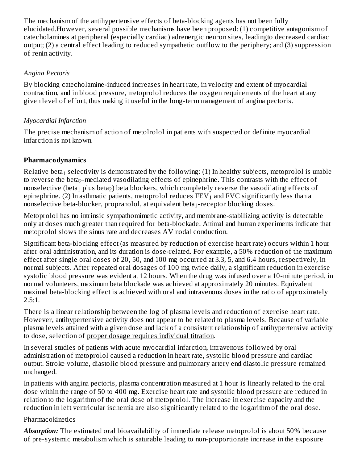The mechanism of the antihypertensive effects of beta-blocking agents has not been fully elucidated.However, several possible mechanisms have been proposed: (1) competitive antagonism of catecholamines at peripheral (especially cardiac) adrenergic neuron sites, leadingto decreased cardiac output; (2) a central effect leading to reduced sympathetic outflow to the periphery; and (3) suppression of renin activity.

## *Angina Pectoris*

By blocking catecholamine-induced increases in heart rate, in velocity and extent of myocardial contraction, and in blood pressure, metoprolol reduces the oxygen requirements of the heart at any given level of effort, thus making it useful in the long-term management of angina pectoris.

## *Myocardial Infarction*

The precise mechanism of action of metolrolol in patients with suspected or definite myocardial infarction is not known.

## **Pharmacodynamics**

Relative beta $_1$  selectivity is demonstrated by the following: (1) In healthy subjects, metoprolol is unable to reverse the beta $_2$ -mediated vasodilating effects of epinephrine. This contrasts with the effect of nonselective (beta $_1$  plus beta $_2$ ) beta blockers, which completely reverse the vasodilating effects of epinephrine. (2) In asthmatic patients, metoprolol reduces  $\text{FEV}_1$  and  $\text{FVC}$  significantly less than a nonselective beta-blocker, propranolol, at equivalent beta $_1$ -receptor blocking doses.

Metoprolol has no intrinsic sympathomimetic activity, and membrane-stabilizing activity is detectable only at doses much greater than required for beta-blockade. Animal and human experiments indicate that metoprolol slows the sinus rate and decreases AV nodal conduction.

Significant beta-blocking effect (as measured by reduction of exercise heart rate) occurs within 1 hour after oral administration, and its duration is dose-related. For example, a 50% reduction of the maximum effect after single oral doses of 20, 50, and 100 mg occurred at 3.3, 5, and 6.4 hours, respectively, in normal subjects. After repeated oral dosages of 100 mg twice daily, a significant reduction in exercise systolic blood pressure was evident at 12 hours. When the drug was infused over a 10-minute period, in normal volunteers, maximum beta blockade was achieved at approximately 20 minutes. Equivalent maximal beta-blocking effect is achieved with oral and intravenous doses in the ratio of approximately 2.5:1.

There is a linear relationship between the log of plasma levels and reduction of exercise heart rate. However, antihypertensive activity does not appear to be related to plasma levels. Because of variable plasma levels attained with a given dose and lack of a consistent relationship of antihypertensive activity to dose, selection of proper dosage requires individual titration.

In several studies of patients with acute myocardial infarction, intravenous followed by oral administration of metoprolol caused a reduction in heart rate, systolic blood pressure and cardiac output. Stroke volume, diastolic blood pressure and pulmonary artery end diastolic pressure remained unchanged.

In patients with angina pectoris, plasma concentration measured at 1 hour is linearly related to the oral dose within the range of 50 to 400 mg. Exercise heart rate and systolic blood pressure are reduced in relation to the logarithm of the oral dose of metoprolol. The increase in exercise capacity and the reduction in left ventricular ischemia are also significantly related to the logarithm of the oral dose.

## Pharmacokinetics

*Absorption:* The estimated oral bioavailability of immediate release metoprolol is about 50% because of pre-systemic metabolism which is saturable leading to non-proportionate increase in the exposure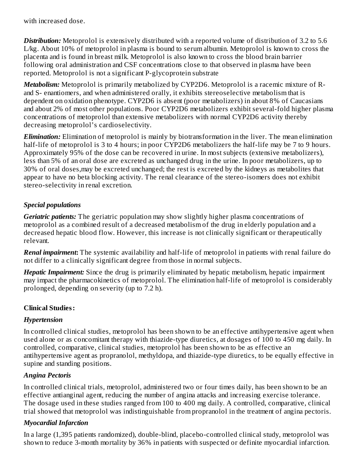with increased dose.

*Distribution:* Metoprolol is extensively distributed with a reported volume of distribution of 3.2 to 5.6 L/kg. About 10% of metoprolol in plasma is bound to serum albumin. Metoprolol is known to cross the placenta and is found in breast milk. Metoprolol is also known to cross the blood brain barrier following oral administration and CSF concentrations close to that observed in plasma have been reported. Metoprolol is not a significant P-glycoprotein substrate

*Metabolism:* Metoprolol is primarily metabolized by CYP2D6. Metoprolol is a racemic mixture of Rand S- enantiomers, and when administered orally, it exhibits stereoselective metabolism that is dependent on oxidation phenotype. CYP2D6 is absent (poor metabolizers) in about 8% of Caucasians and about 2% of most other populations. Poor CYP2D6 metabolizers exhibit several-fold higher plasma concentrations of metoprolol than extensive metabolizers with normal CYP2D6 activity thereby decreasing metoprolol's cardioselectivity.

*Elimination:* Elimination of metoprolol is mainly by biotransformation in the liver. The mean elimination half-life of metoprolol is 3 to 4 hours; in poor CYP2D6 metabolizers the half-life may be 7 to 9 hours. Approximately 95% of the dose can be recovered in urine. In most subjects (extensive metabolizers), less than 5% of an oral dose are excreted as unchanged drug in the urine. In poor metabolizers, up to 30% of oral doses,may be excreted unchanged; the rest is excreted by the kidneys as metabolites that appear to have no beta blocking activity. The renal clearance of the stereo-isomers does not exhibit stereo-selectivity in renal excretion.

## *Special populations*

*Geriatric patients:* The geriatric population may show slightly higher plasma concentrations of metoprolol as a combined result of a decreased metabolism of the drug in elderly population and a decreased hepatic blood flow. However, this increase is not clinically significant or therapeutically relevant.

*Renal impairment***:** The systemic availability and half-life of metoprolol in patients with renal failure do not differ to a clinically significant degree from those in normal subjects.

*Hepatic Impairment:* Since the drug is primarily eliminated by hepatic metabolism, hepatic impairment may impact the pharmacokinetics of metoprolol. The elimination half-life of metoprolol is considerably prolonged, depending on severity (up to 7.2 h).

## **Clinical Studies:**

## *Hypertension*

In controlled clinical studies, metoprolol has been shown to be an effective antihypertensive agent when used alone or as concomitant therapy with thiazide-type diuretics, at dosages of 100 to 450 mg daily. In controlled, comparative, clinical studies, metoprolol has been shown to be as effective an antihypertensive agent as propranolol, methyldopa, and thiazide-type diuretics, to be equally effective in supine and standing positions.

## *Angina Pectoris*

In controlled clinical trials, metoprolol, administered two or four times daily, has been shown to be an effective antianginal agent, reducing the number of angina attacks and increasing exercise tolerance. The dosage used in these studies ranged from 100 to 400 mg daily. A controlled, comparative, clinical trial showed that metoprolol was indistinguishable from propranolol in the treatment of angina pectoris.

## *Myocardial Infarction*

In a large (1,395 patients randomized), double-blind, placebo-controlled clinical study, metoprolol was shown to reduce 3-month mortality by 36% in patients with suspected or definite myocardial infarction.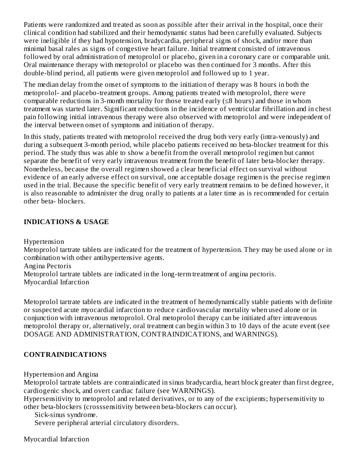Patients were randomized and treated as soon as possible after their arrival in the hospital, once their clinical condition had stabilized and their hemodynamic status had been carefully evaluated. Subjects were ineligible if they had hypotension, bradycardia, peripheral signs of shock, and/or more than minimal basal rales as signs of congestive heart failure. Initial treatment consisted of intravenous followed by oral administration of metoprolol or placebo, given in a coronary care or comparable unit. Oral maintenance therapy with metoprolol or placebo was then continued for 3 months. After this double-blind period, all patients were given metoprolol and followed up to 1 year.

The median delay from the onset of symptoms to the initiation of therapy was 8 hours in both the metoprolol- and placebo-treatment groups. Among patients treated with metoprolol, there were comparable reductions in 3-month mortality for those treated early (≤8 hours) and those in whom treatment was started later. Significant reductions in the incidence of ventricular fibrillation and in chest pain following initial intravenous therapy were also observed with metoprolol and were independent of the interval between onset of symptoms and initiation of therapy.

In this study, patients treated with metoprolol received the drug both very early (intra-venously) and during a subsequent 3-month period, while placebo patients received no beta-blocker treatment for this period. The study thus was able to show a benefit from the overall metoprolol regimen but cannot separate the benefit of very early intravenous treatment from the benefit of later beta-blocker therapy. Nonetheless, because the overall regimen showed a clear beneficial effect on survival without evidence of an early adverse effect on survival, one acceptable dosage regimen is the precise regimen used in the trial. Because the specific benefit of very early treatment remains to be defined however, it is also reasonable to administer the drug orally to patients at a later time as is recommended for certain other beta- blockers.

## **INDICATIONS & USAGE**

Hypertension

Metoprolol tartrate tablets are indicated for the treatment of hypertension. They may be used alone or in combination with other antihypertensive agents.

Angina Pectoris

Metoprolol tartrate tablets are indicated in the long-term treatment of angina pectoris.

Myocardial Infarction

Metoprolol tartrate tablets are indicated in the treatment of hemodynamically stable patients with definite or suspected acute myocardial infarction to reduce cardiovascular mortality when used alone or in conjunction with intravenous metoprolol. Oral metoprolol therapy can be initiated after intravenous metoprolol therapy or, alternatively, oral treatment can begin within 3 to 10 days of the acute event (see DOSAGE AND ADMINISTRATION, CONTRAINDICATIONS, and WARNINGS).

## **CONTRAINDICATIONS**

Hypertension and Angina

Metoprolol tartrate tablets are contraindicated in sinus bradycardia, heart block greater than first degree, cardiogenic shock, and overt cardiac failure (see WARNINGS).

Hypersensitivity to metoprolol and related derivatives, or to any of the excipients; hypersensitivity to other beta-blockers (crosssensitivity between beta-blockers can occur).

Sick-sinus syndrome.

Severe peripheral arterial circulatory disorders.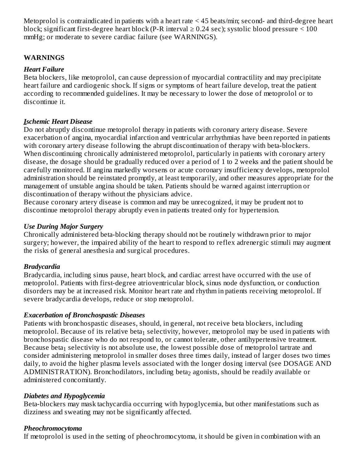Metoprolol is contraindicated in patients with a heart rate < 45 beats/min; second- and third-degree heart block; significant first-degree heart block (P-R interval  $\geq$  0.24 sec); systolic blood pressure  $\leq$  100 mmHg; or moderate to severe cardiac failure (see WARNINGS).

## **WARNINGS**

#### *Heart Failure*

Beta blockers, like metoprolol, can cause depression of myocardial contractility and may precipitate heart failure and cardiogenic shock. If signs or symptoms of heart failure develop, treat the patient according to recommended guidelines. It may be necessary to lower the dose of metoprolol or to discontinue it.

#### *Ischemic Heart Disease*

Do not abruptly discontinue metoprolol therapy in patients with coronary artery disease. Severe exacerbation of angina, myocardial infarction and ventricular arrhythmias have been reported in patients with coronary artery disease following the abrupt discontinuation of therapy with beta-blockers. When discontinuing chronically administered metoprolol, particularly in patients with coronary artery disease, the dosage should be gradually reduced over a period of 1 to 2 weeks and the patient should be carefully monitored. If angina markedly worsens or acute coronary insufficiency develops, metoprolol administration should be reinstated promptly, at least temporarily, and other measures appropriate for the management of unstable angina should be taken. Patients should be warned against interruption or discontinuation of therapy without the physicians advice.

Because coronary artery disease is common and may be unrecognized, it may be prudent not to discontinue metoprolol therapy abruptly even in patients treated only for hypertension.

#### *Use During Major Surgery*

Chronically administered beta-blocking therapy should not be routinely withdrawn prior to major surgery; however, the impaired ability of the heart to respond to reflex adrenergic stimuli may augment the risks of general anesthesia and surgical procedures.

## *Bradycardia*

Bradycardia, including sinus pause, heart block, and cardiac arrest have occurred with the use of metoprolol. Patients with first-degree atrioventricular block, sinus node dysfunction, or conduction disorders may be at increased risk. Monitor heart rate and rhythm in patients receiving metoprolol. If severe bradycardia develops, reduce or stop metoprolol.

## *Exacerbation of Bronchospastic Diseases*

Patients with bronchospastic diseases, should, in general, not receive beta blockers, including metoprolol. Because of its relative beta $_1$  selectivity, however, metoprolol may be used in patients with bronchospastic disease who do not respond to, or cannot tolerate, other antihypertensive treatment. Because beta $_1$  selectivity is not absolute use, the lowest possible dose of metoprolol tartrate and consider administering metoprolol in smaller doses three times daily, instead of larger doses two times daily, to avoid the higher plasma levels associated with the longer dosing interval (see DOSAGE AND  $\mathop{\rm ADMINISTRATION}$ ). Bronchodilators, including beta $_2$  agonists, should be readily available or administered concomitantly.

#### *Diabetes and Hypoglycemia*

Beta-blockers may mask tachycardia occurring with hypoglycemia, but other manifestations such as dizziness and sweating may not be significantly affected.

#### *Pheochromocytoma*

If metoprolol is used in the setting of pheochromocytoma, it should be given in combination with an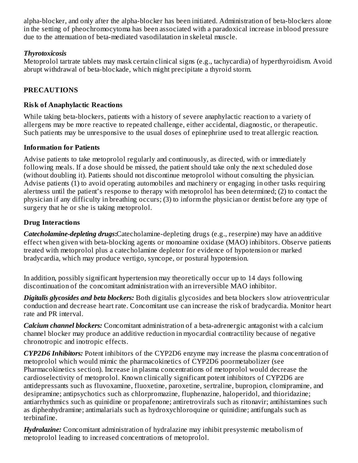alpha-blocker, and only after the alpha-blocker has been initiated. Administration of beta-blockers alone in the setting of pheochromocytoma has been associated with a paradoxical increase in blood pressure due to the attenuation of beta-mediated vasodilatation in skeletal muscle.

## *Thyrotoxicosis*

Metoprolol tartrate tablets may mask certain clinical signs (e.g., tachycardia) of hyperthyroidism. Avoid abrupt withdrawal of beta-blockade, which might precipitate a thyroid storm.

## **PRECAUTIONS**

#### **Risk of Anaphylactic Reactions**

While taking beta-blockers, patients with a history of severe anaphylactic reaction to a variety of allergens may be more reactive to repeated challenge, either accidental, diagnostic, or therapeutic. Such patients may be unresponsive to the usual doses of epinephrine used to treat allergic reaction.

## **Information for Patients**

Advise patients to take metoprolol regularly and continuously, as directed, with or immediately following meals. If a dose should be missed, the patient should take only the next scheduled dose (without doubling it). Patients should not discontinue metoprolol without consulting the physician. Advise patients (1) to avoid operating automobiles and machinery or engaging in other tasks requiring alertness until the patient's response to therapy with metoprolol has been determined; (2) to contact the physician if any difficulty in breathing occurs; (3) to inform the physician or dentist before any type of surgery that he or she is taking metoprolol.

## **Drug Interactions**

*Catecholamine-depleting drugs***:**Catecholamine-depleting drugs (e.g., reserpine) may have an additive effect when given with beta-blocking agents or monoamine oxidase (MAO) inhibitors. Observe patients treated with metoprolol plus a catecholamine depletor for evidence of hypotension or marked bradycardia, which may produce vertigo, syncope, or postural hypotension.

In addition, possibly significant hypertension may theoretically occur up to 14 days following discontinuation of the concomitant administration with an irreversible MAO inhibitor.

*Digitalis glycosides and beta blockers:* Both digitalis glycosides and beta blockers slow atrioventricular conduction and decrease heart rate. Concomitant use can increase the risk of bradycardia. Monitor heart rate and PR interval.

*Calcium channel blockers:* Concomitant administration of a beta-adrenergic antagonist with a calcium channel blocker may produce an additive reduction in myocardial contractility because of negative chronotropic and inotropic effects.

*CYP2D6 Inhibitors:* Potent inhibitors of the CYP2D6 enzyme may increase the plasma concentration of metoprolol which would mimic the pharmacokinetics of CYP2D6 poormetabolizer (see Pharmacokinetics section). Increase in plasma concentrations of metoprolol would decrease the cardioselectivity of metoprolol. Known clinically significant potent inhibitors of CYP2D6 are antidepressants such as fluvoxamine, fluoxetine, paroxetine, sertraline, bupropion, clomipramine, and desipramine; antipsychotics such as chlorpromazine, fluphenazine, haloperidol, and thioridazine; antiarrhythmics such as quinidine or propafenone; antiretrovirals such as ritonavir; antihistamines such as diphenhydramine; antimalarials such as hydroxychloroquine or quinidine; antifungals such as terbinafine.

*Hydralazine:* Concomitant administration of hydralazine may inhibit presystemic metabolism of metoprolol leading to increased concentrations of metoprolol.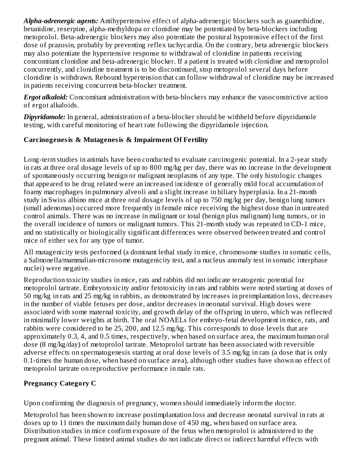*Alpha-adrenergic agents:* Antihypertensive effect of alpha-adrenergic blockers such as guanethidine, betanidine, reserpine, alpha-methyldopa or clonidine may be potentiated by beta-blockers including metoprolol. Beta-adrenergic blockers may also potentiate the postural hypotensive effect of the first dose of prazosin, probably by preventing reflex tachycardia. On the contrary, beta adrenergic blockers may also potentiate the hypertensive response to withdrawal of clonidine in patients receiving concomitant clonidine and beta-adrenergic blocker. If a patient is treated with clonidine and metoprolol concurrently, and clonidine treatment is to be discontinued, stop metoprolol several days before clonidine is withdrawn. Rebound hypertension that can follow withdrawal of clonidine may be increased in patients receiving concurrent beta-blocker treatment.

*Ergot alkaloid:* Concomitant administration with beta-blockers may enhance the vasoconstrictive action of ergot alkaloids.

*Dipyridamole:* In general, administration of a beta-blocker should be withheld before dipyridamole testing, with careful monitoring of heart rate following the dipyridamole injection.

## **Carcinogenesis & Mutagenesis & Impairment Of Fertility**

Long-term studies in animals have been conducted to evaluate carcinogenic potential. In a 2-year study in rats at three oral dosage levels of up to 800 mg/kg per day, there was no increase in the development of spontaneously occurring benign or malignant neoplasms of any type. The only histologic changes that appeared to be drug related were an increased incidence of generally mild focal accumulation of foamy macrophages in pulmonary alveoli and a slight increase in biliary hyperplasia. In a 21-month study in Swiss albino mice at three oral dosage levels of up to 750 mg/kg per day, benign lung tumors (small adenomas) occurred more frequently in female mice receiving the highest dose than in untreated control animals. There was no increase in malignant or total (benign plus malignant) lung tumors, or in the overall incidence of tumors or malignant tumors. This 21-month study was repeated in CD-1 mice, and no statistically or biologically significant differences were observed between treated and control mice of either sex for any type of tumor.

All mutagenicity tests performed (a dominant lethal study in mice, chromosome studies in somatic cells, a Salmonella/mammalian-microsome mutagenicity test, and a nucleus anomaly test in somatic interphase nuclei) were negative.

Reproduction toxicity studies in mice, rats and rabbits did not indicate teratogenic potential for metoprolol tartrate. Embryotoxicity and/or fetotoxicity in rats and rabbits were noted starting at doses of 50 mg/kg in rats and 25 mg/kg in rabbits, as demonstrated by increases in preimplantation loss, decreases in the number of viable fetuses per dose, and/or decreases in neonatal survival. High doses were associated with some maternal toxicity, and growth delay of the offspring in utero, which was reflected in minimally lower weights at birth. The oral NOAELs for embryo-fetal development in mice, rats, and rabbits were considered to be 25, 200, and 12.5 mg/kg. This corresponds to dose levels that are approximately 0.3, 4, and 0.5 times, respectively, when based on surface area, the maximum human oral dose (8 mg/kg/day) of metoprolol tartrate. Metoprolol tartrate has been associated with reversible adverse effects on spermatogenesis starting at oral dose levels of 3.5 mg/kg in rats (a dose that is only 0.1-times the human dose, when based on surface area), although other studies have shown no effect of metoprolol tartrate on reproductive performance in male rats.

## **Pregnancy Category C**

Upon confirming the diagnosis of pregnancy, women should immediately inform the doctor.

Metoprolol has been shown to increase postimplantation loss and decrease neonatal survival in rats at doses up to 11 times the maximum daily human dose of 450 mg, when based on surface area. Distribution studies in mice confirm exposure of the fetus when metoprolol is administered to the pregnant animal. These limited animal studies do not indicate direct or indirect harmful effects with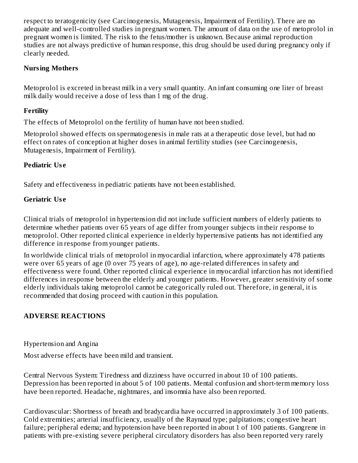respect to teratogenicity (see Carcinogenesis, Mutagenesis, Impairment of Fertility). There are no adequate and well-controlled studies in pregnant women. The amount of data on the use of metoprolol in pregnant women is limited. The risk to the fetus/mother is unknown. Because animal reproduction studies are not always predictive of human response, this drug should be used during pregnancy only if clearly needed.

## **Nursing Mothers**

Metoprolol is excreted in breast milk in a very small quantity. An infant consuming one liter of breast milk daily would receive a dose of less than 1 mg of the drug.

## **Fertility**

The effects of Metoprolol on the fertility of human have not been studied.

Metoprolol showed effects on spermatogenesis in male rats at a therapeutic dose level, but had no effect on rates of conception at higher doses in animal fertility studies (see Carcinogenesis, Mutagenesis, Impairment of Fertility).

## **Pediatric Us e**

Safety and effectiveness in pediatric patients have not been established.

## **Geriatric Us e**

Clinical trials of metoprolol in hypertension did not include sufficient numbers of elderly patients to determine whether patients over 65 years of age differ from younger subjects in their response to metoprolol. Other reported clinical experience in elderly hypertensive patients has not identified any difference in response from younger patients.

In worldwide clinical trials of metoprolol in myocardial infarction, where approximately 478 patients were over 65 years of age (0 over 75 years of age), no age-related differences in safety and effectiveness were found. Other reported clinical experience in myocardial infarction has not identified differences in response between the elderly and younger patients. However, greater sensitivity of some elderly individuals taking metoprolol cannot be categorically ruled out. Therefore, in general, it is recommended that dosing proceed with caution in this population.

## **ADVERSE REACTIONS**

Hypertension and Angina

Most adverse effects have been mild and transient.

Central Nervous System: Tiredness and dizziness have occurred in about 10 of 100 patients. Depression has been reported in about 5 of 100 patients. Mental confusion and short-term memory loss have been reported. Headache, nightmares, and insomnia have also been reported.

Cardiovascular: Shortness of breath and bradycardia have occurred in approximately 3 of 100 patients. Cold extremities; arterial insufficiency, usually of the Raynaud type; palpitations; congestive heart failure; peripheral edema; and hypotension have been reported in about 1 of 100 patients. Gangrene in patients with pre-existing severe peripheral circulatory disorders has also been reported very rarely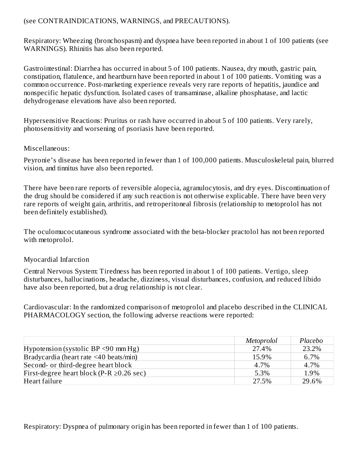## (see CONTRAINDICATIONS, WARNINGS, and PRECAUTIONS).

Respiratory: Wheezing (bronchospasm) and dyspnea have been reported in about 1 of 100 patients (see WARNINGS). Rhinitis has also been reported.

Gastrointestinal: Diarrhea has occurred in about 5 of 100 patients. Nausea, dry mouth, gastric pain, constipation, flatulence, and heartburn have been reported in about 1 of 100 patients. Vomiting was a common occurrence. Post-marketing experience reveals very rare reports of hepatitis, jaundice and nonspecific hepatic dysfunction. Isolated cases of transaminase, alkaline phosphatase, and lactic dehydrogenase elevations have also been reported.

Hypersensitive Reactions: Pruritus or rash have occurred in about 5 of 100 patients. Very rarely, photosensitivity and worsening of psoriasis have been reported.

## Miscellaneous:

Peyronie's disease has been reported in fewer than 1 of 100,000 patients. Musculoskeletal pain, blurred vision, and tinnitus have also been reported.

There have been rare reports of reversible alopecia, agranulocytosis, and dry eyes. Discontinuation of the drug should be considered if any such reaction is not otherwise explicable. There have been very rare reports of weight gain, arthritis, and retroperitoneal fibrosis (relationship to metoprolol has not been definitely established).

The oculomucocutaneous syndrome associated with the beta-blocker practolol has not been reported with metoprolol.

## Myocardial Infarction

Central Nervous System: Tiredness has been reported in about 1 of 100 patients. Vertigo, sleep disturbances, hallucinations, headache, dizziness, visual disturbances, confusion, and reduced libido have also been reported, but a drug relationship is not clear.

Cardiovascular: In the randomized comparison of metoprolol and placebo described in the CLINICAL PHARMACOLOGY section, the following adverse reactions were reported:

|                                                | <i>Metoprolol</i> | Placebo |
|------------------------------------------------|-------------------|---------|
| Hypotension (systolic BP $\leq$ 90 mm Hg)      | 27.4%             | 23.2%   |
| Bradycardia (heart rate <40 beats/min)         | 15.9%             | 6.7%    |
| Second- or third-degree heart block            | 4.7%              | 4.7%    |
| First-degree heart block (P-R $\geq$ 0.26 sec) | 5.3%              | 1.9%    |
| Heart failure                                  | 27.5%             | 29.6%   |

Respiratory: Dyspnea of pulmonary origin has been reported in fewer than 1 of 100 patients.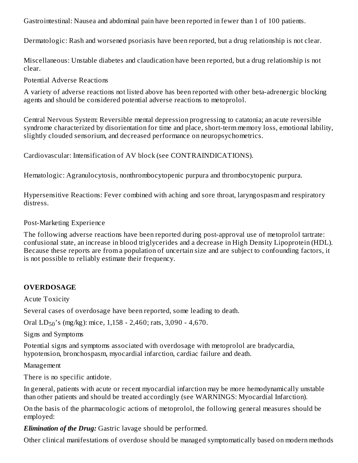Gastrointestinal: Nausea and abdominal pain have been reported in fewer than 1 of 100 patients.

Dermatologic: Rash and worsened psoriasis have been reported, but a drug relationship is not clear.

Miscellaneous: Unstable diabetes and claudication have been reported, but a drug relationship is not clear.

Potential Adverse Reactions

A variety of adverse reactions not listed above has been reported with other beta-adrenergic blocking agents and should be considered potential adverse reactions to metoprolol.

Central Nervous System: Reversible mental depression progressing to catatonia; an acute reversible syndrome characterized by disorientation for time and place, short-term memory loss, emotional lability, slightly clouded sensorium, and decreased performance on neuropsychometrics.

Cardiovascular: Intensification of AV block (see CONTRAINDICATIONS).

Hematologic: Agranulocytosis, nonthrombocytopenic purpura and thrombocytopenic purpura.

Hypersensitive Reactions: Fever combined with aching and sore throat, laryngospasm and respiratory distress.

## Post-Marketing Experience

The following adverse reactions have been reported during post-approval use of metoprolol tartrate: confusional state, an increase in blood triglycerides and a decrease in High Density Lipoprotein (HDL). Because these reports are from a population of uncertain size and are subject to confounding factors, it is not possible to reliably estimate their frequency.

## **OVERDOSAGE**

Acute Toxicity

Several cases of overdosage have been reported, some leading to death.

Oral  $LD_{50}$ 's (mg/kg): mice, 1,158 - 2,460; rats, 3,090 - 4,670.

Signs and Symptoms

Potential signs and symptoms associated with overdosage with metoprolol are bradycardia, hypotension, bronchospasm, myocardial infarction, cardiac failure and death.

Management

There is no specific antidote.

In general, patients with acute or recent myocardial infarction may be more hemodynamically unstable than other patients and should be treated accordingly (see WARNINGS: Myocardial Infarction).

On the basis of the pharmacologic actions of metoprolol, the following general measures should be employed:

*Elimination of the Drug:* Gastric lavage should be performed.

Other clinical manifestations of overdose should be managed symptomatically based on modern methods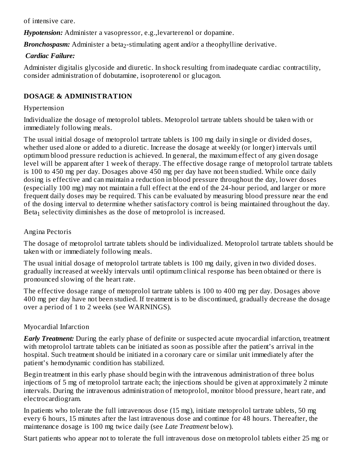of intensive care.

*Hypotension:* Administer a vasopressor, e.g.,levarterenol or dopamine.

Bronchospasm: Administer a beta<sub>2</sub>-stimulating agent and/or a theophylline derivative.

#### *Cardiac Failure:*

Administer digitalis glycoside and diuretic. In shock resulting from inadequate cardiac contractility, consider administration of dobutamine, isoproterenol or glucagon.

## **DOSAGE & ADMINISTRATION**

## Hypertension

Individualize the dosage of metoprolol tablets. Metoprolol tartrate tablets should be taken with or immediately following meals.

The usual initial dosage of metoprolol tartrate tablets is 100 mg daily in single or divided doses, whether used alone or added to a diuretic. Increase the dosage at weekly (or longer) intervals until optimum blood pressure reduction is achieved. In general, the maximum effect of any given dosage level will be apparent after 1 week of therapy. The effective dosage range of metoprolol tartrate tablets is 100 to 450 mg per day. Dosages above 450 mg per day have not been studied. While once daily dosing is effective and can maintain a reduction in blood pressure throughout the day, lower doses (especially 100 mg) may not maintain a full effect at the end of the 24-hour period, and larger or more frequent daily doses may be required. This can be evaluated by measuring blood pressure near the end of the dosing interval to determine whether satisfactory control is being maintained throughout the day. Beta $_1$  selectivity diminishes as the dose of metoprolol is increased.

## Angina Pectoris

The dosage of metoprolol tartrate tablets should be individualized. Metoprolol tartrate tablets should be taken with or immediately following meals.

The usual initial dosage of metoprolol tartrate tablets is 100 mg daily, given in two divided doses. gradually increased at weekly intervals until optimum clinical response has been obtained or there is pronounced slowing of the heart rate.

The effective dosage range of metoprolol tartrate tablets is 100 to 400 mg per day. Dosages above 400 mg per day have not been studied. If treatment is to be discontinued, gradually decrease the dosage over a period of 1 to 2 weeks (see WARNINGS).

## Myocardial Infarction

*Early Treatment:* During the early phase of definite or suspected acute myocardial infarction, treatment with metoprolol tartrate tablets can be initiated as soon as possible after the patient's arrival in the hospital. Such treatment should be initiated in a coronary care or similar unit immediately after the patient's hemodynamic condition has stabilized.

Begin treatment in this early phase should begin with the intravenous administration of three bolus injections of 5 mg of metoprolol tartrate each; the injections should be given at approximately 2 minute intervals. During the intravenous administration of metoprolol, monitor blood pressure, heart rate, and electrocardiogram.

In patients who tolerate the full intravenous dose (15 mg), initiate metoprolol tartrate tablets, 50 mg every 6 hours, 15 minutes after the last intravenous dose and continue for 48 hours. Thereafter, the maintenance dosage is 100 mg twice daily (see *Late Treatment* below).

Start patients who appear not to tolerate the full intravenous dose on metoprolol tablets either 25 mg or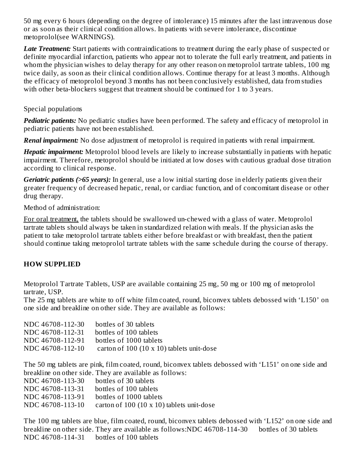50 mg every 6 hours (depending on the degree of intolerance) 15 minutes after the last intravenous dose or as soon as their clinical condition allows. In patients with severe intolerance, discontinue metoprolol(see WARNINGS).

*Late Treatment:* Start patients with contraindications to treatment during the early phase of suspected or definite myocardial infarction, patients who appear not to tolerate the full early treatment, and patients in whom the physician wishes to delay therapy for any other reason on metoprolol tartrate tablets, 100 mg twice daily, as soon as their clinical condition allows. Continue therapy for at least 3 months. Although the efficacy of metoprolol beyond 3 months has not been conclusively established, data from studies with other beta-blockers suggest that treatment should be continued for 1 to 3 years.

## Special populations

*Pediatric patients:* No pediatric studies have been performed. The safety and efficacy of metoprolol in pediatric patients have not been established.

*Renal impairment:* No dose adjustment of metoprolol is required in patients with renal impairment.

*Hepatic impairment:* Metoprolol blood levels are likely to increase substantially in patients with hepatic impairment. Therefore, metoprolol should be initiated at low doses with cautious gradual dose titration according to clinical response.

*Geriatric patients (>65 years):* In general, use a low initial starting dose in elderly patients given their greater frequency of decreased hepatic, renal, or cardiac function, and of concomitant disease or other drug therapy.

Method of administration:

For oral treatment, the tablets should be swallowed un-chewed with a glass of water. Metoprolol tartrate tablets should always be taken in standardized relation with meals. If the physician asks the patient to take metoprolol tartrate tablets either before breakfast or with breakfast, then the patient should continue taking metoprolol tartrate tablets with the same schedule during the course of therapy.

## **HOW SUPPLIED**

Metoprolol Tartrate Tablets, USP are available containing 25 mg, 50 mg or 100 mg of metoprolol tartrate, USP.

The 25 mg tablets are white to off white film coated, round, biconvex tablets debossed with 'L150' on one side and breakline on other side. They are available as follows:

| NDC 46708-112-30 | bottles of 30 tablets                     |
|------------------|-------------------------------------------|
| NDC 46708-112-31 | bottles of 100 tablets                    |
| NDC 46708-112-91 | bottles of 1000 tablets                   |
| NDC 46708-112-10 | carton of 100 (10 x 10) tablets unit-dose |
|                  |                                           |

The 50 mg tablets are pink, film coated, round, biconvex tablets debossed with 'L151' on one side and breakline on other side. They are available as follows:

| NDC 46708-113-30 | bottles of 30 tablets                     |
|------------------|-------------------------------------------|
| NDC 46708-113-31 | bottles of 100 tablets                    |
| NDC 46708-113-91 | bottles of 1000 tablets                   |
| NDC 46708-113-10 | carton of 100 (10 x 10) tablets unit-dose |

The 100 mg tablets are blue, film coated, round, biconvex tablets debossed with 'L152' on one side and breakline on other side. They are available as follows:NDC 46708-114-30 bottles of 30 tablets NDC 46708-114-31 bottles of 100 tablets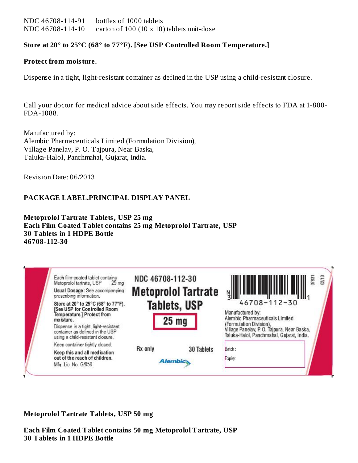NDC 46708-114-91 bottles of 1000 tablets NDC 46708-114-10 carton of 100 (10 x 10) tablets unit-dose

#### **Store at 20° to 25°C (68° to 77°F). [See USP Controlled Room Temperature.]**

#### **Protect from moisture.**

Dispense in a tight, light-resistant container as defined in the USP using a child-resistant closure.

Call your doctor for medical advice about side effects. You may report side effects to FDA at 1-800- FDA-1088.

Manufactured by: Alembic Pharmaceuticals Limited (Formulation Division), Village Panelav, P. O. Tajpura, Near Baska, Taluka-Halol, Panchmahal, Gujarat, India.

Revision Date: 06/2013

#### **PACKAGE LABEL.PRINCIPAL DISPLAY PANEL**

**Metoprolol Tartrate Tablets, USP 25 mg Each Film Coated Tablet contains 25 mg Metoprolol Tartrate, USP 30 Tablets in 1 HDPE Bottle 46708-112-30**

| Each film-coated tablet contains<br>Metoprolol tartrate, USP<br>25 <sub>ma</sub><br>Usual Dosage: See accompanying<br>prescribing information.<br>Store at 20° to 25°C (68° to 77°F).<br><b>ISee USP for Controlled Room</b><br>Temperature.] Protect from | NDC 46708-112-30<br><b>Metoprolol Tartrate</b><br><b>Tablets, USP</b> | 3783<br>$46708 - 112 - 30$<br>Manufactured by:                                                                                                         |
|------------------------------------------------------------------------------------------------------------------------------------------------------------------------------------------------------------------------------------------------------------|-----------------------------------------------------------------------|--------------------------------------------------------------------------------------------------------------------------------------------------------|
| mo isture.<br>Dispense in a tight, light-resistant<br>container as defined in the USP<br>using a child-resistant closure.                                                                                                                                  | 25 <sub>mg</sub>                                                      | Alembic Pharmaceuticals Limited<br>(Formulation Division).<br>Village Panelav, P. O. Tajpura, Near Baska,<br>Taluka-Halol, Panchmahal, Gujarat, India. |
| Keep container tightly closed.                                                                                                                                                                                                                             |                                                                       |                                                                                                                                                        |
| Keep this and all medication<br>out of the reach of children.<br>Mfg. Lic. No. G/959                                                                                                                                                                       | Rx only<br>30 Tablets<br><b>Alembic</b>                               | Batch:<br>Expiry.                                                                                                                                      |

#### **Metoprolol Tartrate Tablets, USP 50 mg**

**Each Film Coated Tablet contains 50 mg Metoprolol Tartrate, USP 30 Tablets in 1 HDPE Bottle**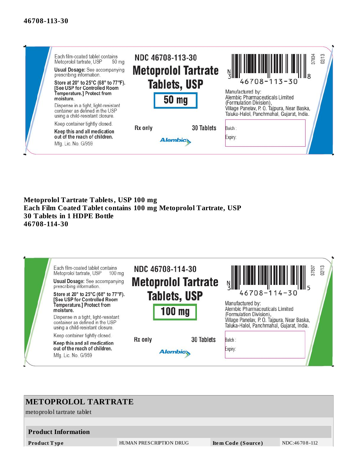

#### **Metoprolol Tartrate Tablets, USP 100 mg Each Film Coated Tablet contains 100 mg Metoprolol Tartrate, USP 30 Tablets in 1 HDPE Bottle 46708-114-30**

| Each film-coated tablet contains<br>Metoprolol tartrate, USP<br>$100 \text{ ma}$<br>Usual Dosage: See accompanying<br>prescribing information.<br>Store at 20° to 25°C (68° to 77°F).<br>[See USP for Controlled Room<br>Temperature.] Protect from<br>moisture.<br>Dispense in a tight, light-resistant<br>container as defined in the USP | NDC 46708-114-30<br><b>Metoprolol Tartrate</b><br><b>Tablets, USP</b><br>$100$ mg | 02/13<br>37837<br>$46708 - 114 - 30$<br>Manufactured by:<br>Alembic Pharmaceuticals Limited<br>(Formulation Division),<br>Village Panelav, P. O. Tajpura, Near Baska,<br>Taluka-Halol, Panchmahal, Gujarat, India. |
|---------------------------------------------------------------------------------------------------------------------------------------------------------------------------------------------------------------------------------------------------------------------------------------------------------------------------------------------|-----------------------------------------------------------------------------------|--------------------------------------------------------------------------------------------------------------------------------------------------------------------------------------------------------------------|
| using a child-resistant closure.<br>Keep container tightly closed.<br>Keep this and all medication<br>out of the reach of children.<br>Mfg. Lic. No. G/959                                                                                                                                                                                  | 30 Tablets<br>Rx only<br><b>Alembic</b>                                           | Batch:<br>Expiry:                                                                                                                                                                                                  |

# **METOPROLOL TARTRATE** metoprolol tartrate tablet **Product Information Product T ype** HUMAN PRESCRIPTION DRUG **Ite m Code (Source )** NDC:46 70 8 -112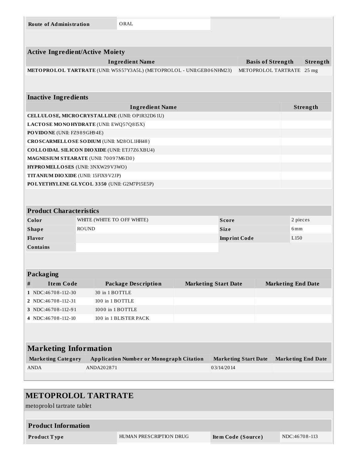| <b>Route of Administration</b>                                        |                  | ORAL                                            |  |                             |                             |                           |          |
|-----------------------------------------------------------------------|------------------|-------------------------------------------------|--|-----------------------------|-----------------------------|---------------------------|----------|
|                                                                       |                  |                                                 |  |                             |                             |                           |          |
| <b>Active Ingredient/Active Moiety</b>                                |                  |                                                 |  |                             |                             |                           |          |
|                                                                       |                  | <b>Ingredient Name</b>                          |  | <b>Basis of Strength</b>    |                             |                           | Strength |
| METOPROLOL TARTRATE (UNII: W5S57Y3A5L) (METOPROLOL - UNII:GEB06NHM23) |                  |                                                 |  |                             | METOPROLOL TARTRATE         |                           | $25$ mg  |
|                                                                       |                  |                                                 |  |                             |                             |                           |          |
| <b>Inactive Ingredients</b>                                           |                  |                                                 |  |                             |                             |                           |          |
|                                                                       |                  | <b>Ingredient Name</b>                          |  |                             |                             |                           | Strength |
| CELLULOSE, MICRO CRYSTALLINE (UNII: OP1R32D61U)                       |                  |                                                 |  |                             |                             |                           |          |
| LACTOSE MONOHYDRATE (UNII: EWQ57Q8I5X)                                |                  |                                                 |  |                             |                             |                           |          |
| PO VIDO NE (UNII: FZ989GH94E)                                         |                  |                                                 |  |                             |                             |                           |          |
| CROSCARMELLOSE SODIUM (UNII: M28OL1HH48)                              |                  |                                                 |  |                             |                             |                           |          |
| <b>COLLOIDAL SILICON DIOXIDE (UNII: ETJ7Z6XBU4)</b>                   |                  |                                                 |  |                             |                             |                           |          |
| MAGNESIUM STEARATE (UNII: 70097M6I30)                                 |                  |                                                 |  |                             |                             |                           |          |
| HYPROMELLOSES (UNII: 3NXW29V3WO)                                      |                  |                                                 |  |                             |                             |                           |          |
| <b>TITANIUM DIO XIDE (UNII: 15FIX9 V2JP)</b>                          |                  |                                                 |  |                             |                             |                           |          |
| POLYETHYLENE GLYCOL 3350 (UNII: G2M7P15E5P)                           |                  |                                                 |  |                             |                             |                           |          |
|                                                                       |                  |                                                 |  |                             |                             |                           |          |
| <b>Product Characteristics</b>                                        |                  |                                                 |  |                             |                             |                           |          |
| Color                                                                 |                  | WHITE (WHITE TO OFF WHITE)                      |  | <b>Score</b>                |                             | 2 pieces                  |          |
| <b>ROUND</b><br><b>Shape</b>                                          |                  |                                                 |  | <b>Size</b>                 |                             | 6mm                       |          |
| Flavor                                                                |                  |                                                 |  |                             | <b>Imprint Code</b>         | L <sub>150</sub>          |          |
| <b>Contains</b>                                                       |                  |                                                 |  |                             |                             |                           |          |
|                                                                       |                  |                                                 |  |                             |                             |                           |          |
|                                                                       |                  |                                                 |  |                             |                             |                           |          |
| Packaging                                                             |                  |                                                 |  |                             |                             |                           |          |
| <b>Item Code</b><br>$\#$                                              |                  | <b>Package Description</b>                      |  | <b>Marketing Start Date</b> |                             | <b>Marketing End Date</b> |          |
| 1 NDC:46708-112-30                                                    | 30 in 1 BOTTLE   |                                                 |  |                             |                             |                           |          |
| 2   NDC:46708-112-31                                                  | 100 in 1 BOTTLE  |                                                 |  |                             |                             |                           |          |
| 3 NDC:46708-112-91                                                    | 1000 in 1 BOTTLE |                                                 |  |                             |                             |                           |          |
| 4   NDC:46 70 8 - 112 - 10                                            |                  | 100 in 1 BLISTER PACK                           |  |                             |                             |                           |          |
|                                                                       |                  |                                                 |  |                             |                             |                           |          |
|                                                                       |                  |                                                 |  |                             |                             |                           |          |
| <b>Marketing Information</b>                                          |                  |                                                 |  |                             |                             |                           |          |
| <b>Marketing Category</b>                                             |                  | <b>Application Number or Monograph Citation</b> |  |                             | <b>Marketing Start Date</b> | <b>Marketing End Date</b> |          |
| <b>ANDA</b>                                                           | ANDA202871       |                                                 |  | 03/14/2014                  |                             |                           |          |
|                                                                       |                  |                                                 |  |                             |                             |                           |          |

# **METOPROLOL TARTRATE**

metoprolol tartrate tablet

# **Product Information Product Type HUMAN PRESCRIPTION DRUG Item Code (Source)** NDC:46708-113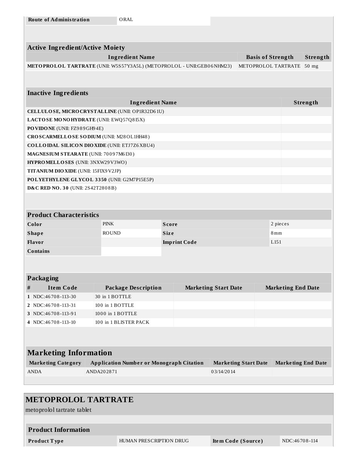| <b>Route of Administration</b>         | ORAL                                                                  |              |                             |                                |                           |          |
|----------------------------------------|-----------------------------------------------------------------------|--------------|-----------------------------|--------------------------------|---------------------------|----------|
|                                        |                                                                       |              |                             |                                |                           |          |
|                                        |                                                                       |              |                             |                                |                           |          |
| <b>Active Ingredient/Active Moiety</b> |                                                                       |              |                             |                                |                           |          |
|                                        | <b>Ingredient Name</b>                                                |              |                             | <b>Basis of Strength</b>       | Strength                  |          |
|                                        | METOPROLOL TARTRATE (UNII: W5S57Y3A5L) (METOPROLOL - UNII:GEB06NHM23) |              |                             | METOPROLOL TARTRATE<br>$50$ mg |                           |          |
|                                        |                                                                       |              |                             |                                |                           |          |
|                                        |                                                                       |              |                             |                                |                           |          |
| <b>Inactive Ingredients</b>            |                                                                       |              |                             |                                |                           |          |
|                                        | <b>Ingredient Name</b>                                                |              |                             |                                |                           | Strength |
|                                        | CELLULOSE, MICRO CRYSTALLINE (UNII: OP1R32D61U)                       |              |                             |                                |                           |          |
|                                        | LACTOSE MONOHYDRATE (UNII: EWQ57Q8I5X)                                |              |                             |                                |                           |          |
| PO VIDONE (UNII: FZ989GH94E)           |                                                                       |              |                             |                                |                           |          |
|                                        | CROSCARMELLOSE SODIUM (UNII: M28OL1HH48)                              |              |                             |                                |                           |          |
|                                        | <b>COLLOIDAL SILICON DIOXIDE (UNII: ETJ7Z6XBU4)</b>                   |              |                             |                                |                           |          |
| MAGNESIUM STEARATE (UNII: 70097M6I30)  |                                                                       |              |                             |                                |                           |          |
| HYPROMELLOSES (UNII: 3NXW29V3WO)       |                                                                       |              |                             |                                |                           |          |
| TITANIUM DIO XIDE (UNII: 15FIX9V2JP)   |                                                                       |              |                             |                                |                           |          |
|                                        | POLYETHYLENE GLYCOL 3350 (UNII: G2M7P15E5P)                           |              |                             |                                |                           |          |
| D&C RED NO. 30 (UNII: 2S42T2808B)      |                                                                       |              |                             |                                |                           |          |
|                                        |                                                                       |              |                             |                                |                           |          |
|                                        |                                                                       |              |                             |                                |                           |          |
| <b>Product Characteristics</b>         |                                                                       |              |                             |                                |                           |          |
| Color                                  | <b>PINK</b>                                                           | <b>Score</b> |                             |                                | 2 pieces                  |          |
| <b>Shape</b>                           | <b>ROUND</b>                                                          | <b>Size</b>  |                             |                                | 8mm                       |          |
| Flavor                                 |                                                                       |              | <b>Imprint Code</b>         |                                | L <sub>151</sub>          |          |
| Contains                               |                                                                       |              |                             |                                |                           |          |
|                                        |                                                                       |              |                             |                                |                           |          |
|                                        |                                                                       |              |                             |                                |                           |          |
| <b>Packaging</b>                       |                                                                       |              |                             |                                |                           |          |
| <b>Item Code</b><br>$\#$               | <b>Package Description</b>                                            |              | <b>Marketing Start Date</b> |                                | <b>Marketing End Date</b> |          |
| 1 NDC:46708-113-30                     | 30 in 1 BOTTLE                                                        |              |                             |                                |                           |          |
| 2 NDC:46708-113-31                     | 100 in 1 BOTTLE                                                       |              |                             |                                |                           |          |
| 3 NDC:46708-113-91                     | 1000 in 1 BOTTLE                                                      |              |                             |                                |                           |          |
| 4 NDC:46708-113-10                     | 100 in 1 BLISTER PACK                                                 |              |                             |                                |                           |          |
|                                        |                                                                       |              |                             |                                |                           |          |
|                                        |                                                                       |              |                             |                                |                           |          |
| <b>Marketing Information</b>           |                                                                       |              |                             |                                |                           |          |
| <b>Marketing Category</b>              | <b>Application Number or Monograph Citation</b>                       |              |                             | <b>Marketing Start Date</b>    | <b>Marketing End Date</b> |          |
| <b>ANDA</b>                            | ANDA202871                                                            |              | 03/14/2014                  |                                |                           |          |
|                                        |                                                                       |              |                             |                                |                           |          |
|                                        |                                                                       |              |                             |                                |                           |          |

# **METOPROLOL TARTRATE**

metoprolol tartrate tablet

## **Product Information**

**Product Type HUMAN PRESCRIPTION DRUG Item Code (Source)** NDC:46708-114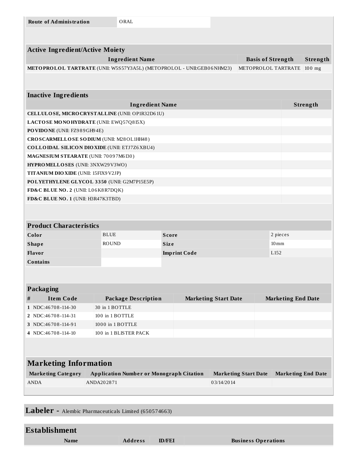| <b>Route of Administration</b>                      | ORAL                                                                  |                     |                             |                                      |                           |          |  |
|-----------------------------------------------------|-----------------------------------------------------------------------|---------------------|-----------------------------|--------------------------------------|---------------------------|----------|--|
|                                                     |                                                                       |                     |                             |                                      |                           |          |  |
|                                                     |                                                                       |                     |                             |                                      |                           |          |  |
| <b>Active Ingredient/Active Moiety</b>              |                                                                       |                     |                             |                                      |                           |          |  |
|                                                     | <b>Ingredient Name</b>                                                |                     |                             | Strength<br><b>Basis of Strength</b> |                           |          |  |
|                                                     | METOPROLOL TARTRATE (UNII: W5S57Y3A5L) (METOPROLOL - UNII:GEB06NHM23) |                     |                             | METOPROLOL TARTRATE<br>$100$ mg      |                           |          |  |
|                                                     |                                                                       |                     |                             |                                      |                           |          |  |
|                                                     |                                                                       |                     |                             |                                      |                           |          |  |
| <b>Inactive Ingredients</b>                         |                                                                       |                     |                             |                                      |                           |          |  |
|                                                     | <b>Ingredient Name</b>                                                |                     |                             |                                      |                           | Strength |  |
|                                                     | CELLULOSE, MICRO CRYSTALLINE (UNII: OP1R32D61U)                       |                     |                             |                                      |                           |          |  |
| LACTOSE MONOHYDRATE (UNII: EWQ57Q8I5X)              |                                                                       |                     |                             |                                      |                           |          |  |
| PO VIDO NE (UNII: FZ989GH94E)                       |                                                                       |                     |                             |                                      |                           |          |  |
| CROSCARMELLOSE SODIUM (UNII: M28OL1HH48)            |                                                                       |                     |                             |                                      |                           |          |  |
| <b>COLLOIDAL SILICON DIOXIDE (UNII: ETJ7Z6XBU4)</b> |                                                                       |                     |                             |                                      |                           |          |  |
| MAGNESIUM STEARATE (UNII: 70097M6I30)               |                                                                       |                     |                             |                                      |                           |          |  |
| HYPROMELLOSES (UNII: 3NXW29V3WO)                    |                                                                       |                     |                             |                                      |                           |          |  |
| TITANIUM DIO XIDE (UNII: 15FIX9 V2JP)               |                                                                       |                     |                             |                                      |                           |          |  |
| POLYETHYLENE GLYCOL 3350 (UNII: G2M7P15E5P)         |                                                                       |                     |                             |                                      |                           |          |  |
| FD&C BLUE NO. 2 (UNII: L06K8R7DQK)                  |                                                                       |                     |                             |                                      |                           |          |  |
| FD&C BLUE NO. 1 (UNII: H3R47K3TBD)                  |                                                                       |                     |                             |                                      |                           |          |  |
|                                                     |                                                                       |                     |                             |                                      |                           |          |  |
|                                                     |                                                                       |                     |                             |                                      |                           |          |  |
| <b>Product Characteristics</b>                      |                                                                       |                     |                             |                                      |                           |          |  |
| Color                                               | <b>BLUE</b>                                                           | <b>Score</b>        |                             |                                      | 2 pieces                  |          |  |
| <b>Shape</b>                                        | <b>ROUND</b>                                                          | <b>Size</b>         |                             | $10 \,\mathrm{mm}$                   |                           |          |  |
| Flavor                                              |                                                                       | <b>Imprint Code</b> |                             | L <sub>152</sub>                     |                           |          |  |
| <b>Contains</b>                                     |                                                                       |                     |                             |                                      |                           |          |  |
|                                                     |                                                                       |                     |                             |                                      |                           |          |  |
|                                                     |                                                                       |                     |                             |                                      |                           |          |  |
| Packaging                                           |                                                                       |                     |                             |                                      |                           |          |  |
| <b>Item Code</b><br>#                               | <b>Package Description</b>                                            |                     | <b>Marketing Start Date</b> |                                      | <b>Marketing End Date</b> |          |  |
| 1 NDC:46708-114-30                                  | 30 in 1 BOTTLE                                                        |                     |                             |                                      |                           |          |  |
| 2 NDC:46708-114-31                                  | 100 in 1 BOTTLE                                                       |                     |                             |                                      |                           |          |  |
| 3 NDC:46708-114-91                                  | 1000 in 1 BOTTLE                                                      |                     |                             |                                      |                           |          |  |
| 4 NDC:46708-114-10                                  | 100 in 1 BLISTER PACK                                                 |                     |                             |                                      |                           |          |  |
|                                                     |                                                                       |                     |                             |                                      |                           |          |  |
|                                                     |                                                                       |                     |                             |                                      |                           |          |  |
| <b>Marketing Information</b>                        |                                                                       |                     |                             |                                      |                           |          |  |
| <b>Marketing Category</b>                           | <b>Application Number or Monograph Citation</b>                       |                     | <b>Marketing Start Date</b> |                                      | <b>Marketing End Date</b> |          |  |
| <b>ANDA</b>                                         | ANDA202871                                                            |                     | 03/14/2014                  |                                      |                           |          |  |
|                                                     |                                                                       |                     |                             |                                      |                           |          |  |
|                                                     |                                                                       |                     |                             |                                      |                           |          |  |

**Labeler -** Alembic Pharmaceuticals Limited (650574663)

## **Establishment Name Address ID/FEI Business Operations**